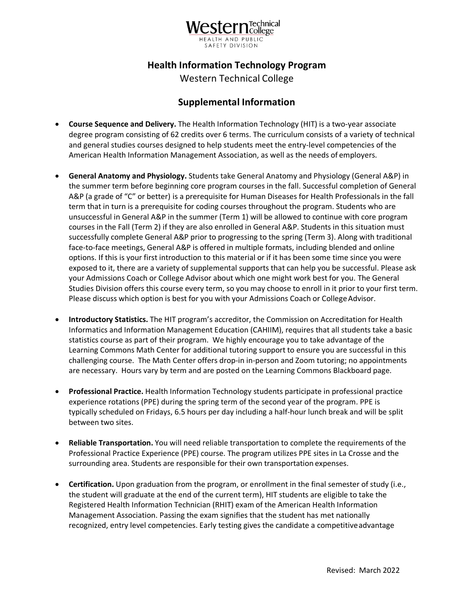

## **Health Information Technology Program**

Western Technical College

## **Supplemental Information**

- American Health Information Management Association, as well as the needs of employers. • **Course Sequence and Delivery.** The Health Information Technology (HIT) is a two-year associate degree program consisting of 62 credits over 6 terms. The curriculum consists of a variety of technical and general studies courses designed to help students meet the entry-level competencies of the
- unsuccessful in General A&P in the summer (Term 1) will be allowed to continue with core program your Admissions Coach or College Advisor about which one might work best for you. The General Studies Division offers this course every term, so you may choose to enroll in it prior to your first term. Please discuss which option is best for you with your Admissions Coach or College Advisor. • **General Anatomy and Physiology.** Students take General Anatomy and Physiology (General A&P) in the summer term before beginning core program courses in the fall. Successful completion of General A&P (a grade of "C" or better) is a prerequisite for Human Diseases for Health Professionals in the fall term that in turn is a prerequisite for coding courses throughout the program. Students who are courses in the Fall (Term 2) if they are also enrolled in General A&P. Students in this situation must successfully complete General A&P prior to progressing to the spring (Term 3). Along with traditional face-to-face meetings, General A&P is offered in multiple formats, including blended and online options. If this is your first introduction to this material or if it has been some time since you were exposed to it, there are a variety of supplemental supports that can help you be successful. Please ask
- statistics course as part of their program. We highly encourage you to take advantage of the • **Introductory Statistics.** The HIT program's accreditor, the Commission on Accreditation for Health Informatics and Information Management Education (CAHIIM), requires that all students take a basic Learning Commons Math Center for additional tutoring support to ensure you are successful in this challenging course. The Math Center offers drop-in in-person and Zoom tutoring; no appointments are necessary. Hours vary by term and are posted on the Learning Commons Blackboard page.
- experience rotations (PPE) during the spring term of the second year of the program. PPE is between two sites. • **Professional Practice.** Health Information Technology students participate in professional practice typically scheduled on Fridays, 6.5 hours per day including a half-hour lunch break and will be split
- • **Reliable Transportation.** You will need reliable transportation to complete the requirements of the surrounding area. Students are responsible for their own transportation expenses. Professional Practice Experience (PPE) course. The program utilizes PPE sites in La Crosse and the
- recognized, entry level competencies. Early testing gives the candidate a competitiveadvantage • **Certification.** Upon graduation from the program, or enrollment in the final semester of study (i.e., the student will graduate at the end of the current term), HIT students are eligible to take the Registered Health Information Technician (RHIT) exam of the American Health Information Management Association. Passing the exam signifies that the student has met nationally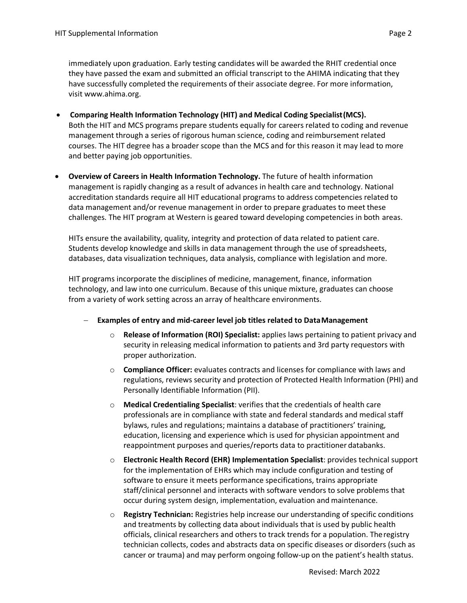immediately upon graduation. Early testing candidates will be awarded the RHIT credential once they have passed the exam and submitted an official transcript to the AHIMA indicating that they have successfully completed the requirements of their associate degree. For more information, visi[t www.ahima.org.](http://www.ahima.org/) 

- **Comparing Health Information Technology (HIT) and Medical Coding Specialist(MCS).**  courses. The HIT degree has a broader scope than the MCS and for this reason it may lead to more Both the HIT and MCS programs prepare students equally for careers related to coding and revenue management through a series of rigorous human science, coding and reimbursement related and better paying job opportunities.
- challenges. The HIT program at Western is geared toward developing competencies in both areas. • **Overview of Careers in Health Information Technology.** The future of health information management is rapidly changing as a result of advances in health care and technology. National accreditation standards require all HIT educational programs to address competencies related to data management and/or revenue management in order to prepare graduates to meet these

 HITs ensure the availability, quality, integrity and protection of data related to patient care. Students develop knowledge and skills in data management through the use of spreadsheets, databases, data visualization techniques, data analysis, compliance with legislation and more.

HIT programs incorporate the disciplines of medicine, management, finance, information technology, and law into one curriculum. Because of this unique mixture, graduates can choose from a variety of work setting across an array of healthcare environments.

- − **Examples of entry and mid-career level job titles related to DataManagement** 
	- o **Release of Information (ROI) Specialist:** applies laws pertaining to patient privacy and security in releasing medical information to patients and 3rd party requestors with proper authorization.
	- Personally Identifiable Information (PII). o **Compliance Officer:** evaluates contracts and licenses for compliance with laws and regulations, reviews security and protection of Protected Health Information (PHI) and
	- reappointment purposes and queries/reports data to practitioner databanks. o **Medical Credentialing Specialist**: verifies that the credentials of health care professionals are in compliance with state and federal standards and medical staff bylaws, rules and regulations; maintains a database of practitioners' training, education, licensing and experience which is used for physician appointment and
	- o **Electronic Health Record (EHR) Implementation Specialist**: provides technical support for the implementation of EHRs which may include configuration and testing of software to ensure it meets performance specifications, trains appropriate staff/clinical personnel and interacts with software vendors to solve problems that occur during system design, implementation, evaluation and maintenance.
	- officials, clinical researchers and others to track trends for a population. Theregistry o **Registry Technician:** Registries help increase our understanding of specific conditions and treatments by collecting data about individuals that is used by public health technician collects, codes and abstracts data on specific diseases or disorders (such as cancer or trauma) and may perform ongoing follow-up on the patient's health status.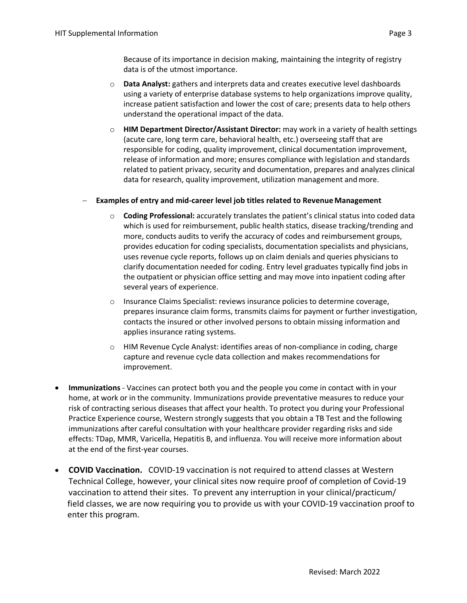Because of its importance in decision making, maintaining the integrity of registry data is of the utmost importance.

- o **Data Analyst:** gathers and interprets data and creates executive level dashboards increase patient satisfaction and lower the cost of care; presents data to help others understand the operational impact of the data. using a variety of enterprise database systems to help organizations improve quality,
- data for research, quality improvement, utilization management and more. o **HIM Department Director/Assistant Director:** may work in a variety of health settings (acute care, long term care, behavioral health, etc.) overseeing staff that are responsible for coding, quality improvement, clinical documentation improvement, release of information and more; ensures compliance with legislation and standards related to patient privacy, security and documentation, prepares and analyzes clinical

## − **Examples of entry and mid-career level job titles related to Revenue Management**

- several years of experience. o **Coding Professional:** accurately translates the patient's clinical status into coded data which is used for reimbursement, public health statics, disease tracking/trending and more, conducts audits to verify the accuracy of codes and reimbursement groups, provides education for coding specialists, documentation specialists and physicians, uses revenue cycle reports, follows up on claim denials and queries physicians to clarify documentation needed for coding. Entry level graduates typically find jobs in the outpatient or physician office setting and may move into inpatient coding after
- applies insurance rating systems. o Insurance Claims Specialist: reviews insurance policies to determine coverage, prepares insurance claim forms, transmits claims for payment or further investigation, contacts the insured or other involved persons to obtain missing information and
- o HIM Revenue Cycle Analyst: identifies areas of non-compliance in coding, charge capture and revenue cycle data collection and makes recommendations for improvement.
- Practice Experience course, Western strongly suggests that you obtain a TB Test and the following at the end of the first-year courses. • **Immunizations** - Vaccines can protect both you and the people you come in contact with in your home, at work or in the community. Immunizations provide preventative measures to reduce your risk of contracting serious diseases that affect your health. To protect you during your Professional immunizations after careful consultation with your healthcare provider regarding risks and side effects: TDap, MMR, Varicella, Hepatitis B, and influenza. You will receive more information about
- vaccination to attend their sites. To prevent any interruption in your clinical/practicum/ • **COVID Vaccination.** COVID-19 vaccination is not required to attend classes at Western Technical College, however, your clinical sites now require proof of completion of Covid-19 field classes, we are now requiring you to provide us with your COVID-19 vaccination proof to enter this program.